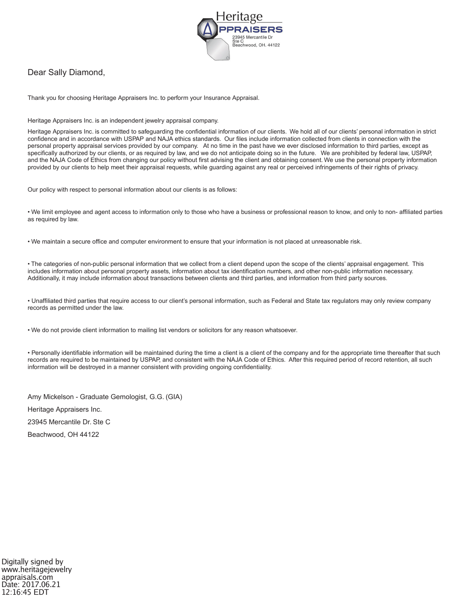

### Dear Sally Diamond,

Thank you for choosing Heritage Appraisers Inc. to perform your Insurance Appraisal.

Heritage Appraisers Inc. is an independent jewelry appraisal company.

Heritage Appraisers Inc. is committed to safeguarding the confidential information of our clients. We hold all of our clients' personal information in strict confidence and in accordance with USPAP and NAJA ethics standards. Our files include information collected from clients in connection with the personal property appraisal services provided by our company. At no time in the past have we ever disclosed information to third parties, except as specifically authorized by our clients, or as required by law, and we do not anticipate doing so in the future. We are prohibited by federal law, USPAP, and the NAJA Code of Ethics from changing our policy without first advising the client and obtaining consent. We use the personal property information provided by our clients to help meet their appraisal requests, while guarding against any real or perceived infringements of their rights of privacy.

Our policy with respect to personal information about our clients is as follows:

• We limit employee and agent access to information only to those who have a business or professional reason to know, and only to non- affiliated parties as required by law.

• We maintain a secure office and computer environment to ensure that your information is not placed at unreasonable risk.

• The categories of non-public personal information that we collect from a client depend upon the scope of the clients' appraisal engagement. This includes information about personal property assets, information about tax identification numbers, and other non-public information necessary. Additionally, it may include information about transactions between clients and third parties, and information from third party sources.

• Unaffiliated third parties that require access to our client's personal information, such as Federal and State tax regulators may only review company records as permitted under the law.

• We do not provide client information to mailing list vendors or solicitors for any reason whatsoever.

• Personally identifiable information will be maintained during the time a client is a client of the company and for the appropriate time thereafter that such records are required to be maintained by USPAP, and consistent with the NAJA Code of Ethics. After this required period of record retention, all such information will be destroyed in a manner consistent with providing ongoing confidentiality.

Amy Mickelson - Graduate Gemologist, G.G. (GIA)

Heritage Appraisers Inc.

23945 Mercantile Dr. Ste C

Beachwood, OH 44122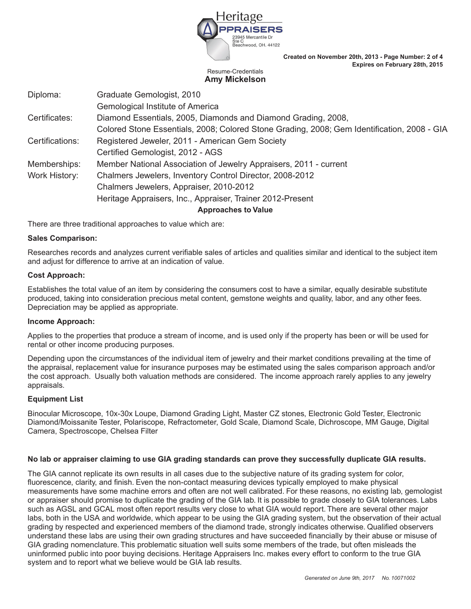

**Created on November 20th, 2013 - Page Number: 2 of 4 Expires on February 28th, 2015**

#### Resume-Credentials **Amy Mickelson**

| Diploma:        | Graduate Gemologist, 2010                                                                   |
|-----------------|---------------------------------------------------------------------------------------------|
|                 | Gemological Institute of America                                                            |
| Certificates:   | Diamond Essentials, 2005, Diamonds and Diamond Grading, 2008,                               |
|                 | Colored Stone Essentials, 2008; Colored Stone Grading, 2008; Gem Identification, 2008 - GIA |
| Certifications: | Registered Jeweler, 2011 - American Gem Society                                             |
|                 | Certified Gemologist, 2012 - AGS                                                            |
| Memberships:    | Member National Association of Jewelry Appraisers, 2011 - current                           |
| Work History:   | Chalmers Jewelers, Inventory Control Director, 2008-2012                                    |
|                 | Chalmers Jewelers, Appraiser, 2010-2012                                                     |
|                 | Heritage Appraisers, Inc., Appraiser, Trainer 2012-Present                                  |
|                 |                                                                                             |

**Approaches to Value**

There are three traditional approaches to value which are:

#### **Sales Comparison:**

Researches records and analyzes current verifiable sales of articles and qualities similar and identical to the subject item and adjust for difference to arrive at an indication of value.

#### **Cost Approach:**

Establishes the total value of an item by considering the consumers cost to have a similar, equally desirable substitute produced, taking into consideration precious metal content, gemstone weights and quality, labor, and any other fees. Depreciation may be applied as appropriate.

#### **Income Approach:**

Applies to the properties that produce a stream of income, and is used only if the property has been or will be used for rental or other income producing purposes.

Depending upon the circumstances of the individual item of jewelry and their market conditions prevailing at the time of the appraisal, replacement value for insurance purposes may be estimated using the sales comparison approach and/or the cost approach. Usually both valuation methods are considered. The income approach rarely applies to any jewelry appraisals.

#### **Equipment List**

Binocular Microscope, 10x-30x Loupe, Diamond Grading Light, Master CZ stones, Electronic Gold Tester, Electronic Diamond/Moissanite Tester, Polariscope, Refractometer, Gold Scale, Diamond Scale, Dichroscope, MM Gauge, Digital Camera, Spectroscope, Chelsea Filter

#### **No lab or appraiser claiming to use GIA grading standards can prove they successfully duplicate GIA results.**

The GIA cannot replicate its own results in all cases due to the subjective nature of its grading system for color, fluorescence, clarity, and finish. Even the non-contact measuring devices typically employed to make physical measurements have some machine errors and often are not well calibrated. For these reasons, no existing lab, gemologist or appraiser should promise to duplicate the grading of the GIA lab. It is possible to grade closely to GIA tolerances. Labs such as AGSL and GCAL most often report results very close to what GIA would report. There are several other major labs, both in the USA and worldwide, which appear to be using the GIA grading system, but the observation of their actual grading by respected and experienced members of the diamond trade, strongly indicates otherwise. Qualified observers understand these labs are using their own grading structures and have succeeded financially by their abuse or misuse of GIA grading nomenclature. This problematic situation well suits some members of the trade, but often misleads the uninformed public into poor buying decisions. Heritage Appraisers Inc. makes every effort to conform to the true GIA system and to report what we believe would be GIA lab results.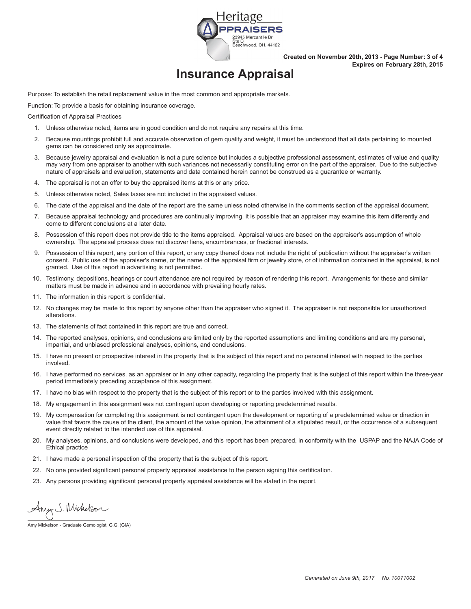

**Created on November 20th, 2013 - Page Number: 3 of 4 Expires on February 28th, 2015**

## **Insurance Appraisal**

Purpose: To establish the retail replacement value in the most common and appropriate markets.

Function: To provide a basis for obtaining insurance coverage.

Certification of Appraisal Practices

- 1. Unless otherwise noted, items are in good condition and do not require any repairs at this time.
- 2. Because mountings prohibit full and accurate observation of gem quality and weight, it must be understood that all data pertaining to mounted gems can be considered only as approximate.
- 3. Because jewelry appraisal and evaluation is not a pure science but includes a subjective professional assessment, estimates of value and quality may vary from one appraiser to another with such variances not necessarily constituting error on the part of the appraiser. Due to the subjective nature of appraisals and evaluation, statements and data contained herein cannot be construed as a guarantee or warranty.
- 4. The appraisal is not an offer to buy the appraised items at this or any price.
- 5. Unless otherwise noted, Sales taxes are not included in the appraised values.
- 6. The date of the appraisal and the date of the report are the same unless noted otherwise in the comments section of the appraisal document.
- 7. Because appraisal technology and procedures are continually improving, it is possible that an appraiser may examine this item differently and come to different conclusions at a later date.
- 8. Possession of this report does not provide title to the items appraised. Appraisal values are based on the appraiser's assumption of whole ownership. The appraisal process does not discover liens, encumbrances, or fractional interests.
- 9. Possession of this report, any portion of this report, or any copy thereof does not include the right of publication without the appraiser's written consent. Public use of the appraiser's name, or the name of the appraisal firm or jewelry store, or of information contained in the appraisal, is not granted. Use of this report in advertising is not permitted.
- 10. Testimony, depositions, hearings or court attendance are not required by reason of rendering this report. Arrangements for these and similar matters must be made in advance and in accordance with prevailing hourly rates.
- 11. The information in this report is confidential.
- 12. No changes may be made to this report by anyone other than the appraiser who signed it. The appraiser is not responsible for unauthorized alterations.
- 13. The statements of fact contained in this report are true and correct.
- 14. The reported analyses, opinions, and conclusions are limited only by the reported assumptions and limiting conditions and are my personal, impartial, and unbiased professional analyses, opinions, and conclusions.
- 15. I have no present or prospective interest in the property that is the subject of this report and no personal interest with respect to the parties involved.
- 16. I have performed no services, as an appraiser or in any other capacity, regarding the property that is the subject of this report within the three-year period immediately preceding acceptance of this assignment.
- 17. I have no bias with respect to the property that is the subject of this report or to the parties involved with this assignment.
- 18. My engagement in this assignment was not contingent upon developing or reporting predetermined results.
- 19. My compensation for completing this assignment is not contingent upon the development or reporting of a predetermined value or direction in value that favors the cause of the client, the amount of the value opinion, the attainment of a stipulated result, or the occurrence of a subsequent event directly related to the intended use of this appraisal.
- 20. My analyses, opinions, and conclusions were developed, and this report has been prepared, in conformity with the USPAP and the NAJA Code of Ethical practice
- 21. I have made a personal inspection of the property that is the subject of this report.
- 22. No one provided significant personal property appraisal assistance to the person signing this certification.
- 23. Any persons providing significant personal property appraisal assistance will be stated in the report.

Any S. Michelson

Amy Mickelson - Graduate Gemologist, G.G. (GIA)